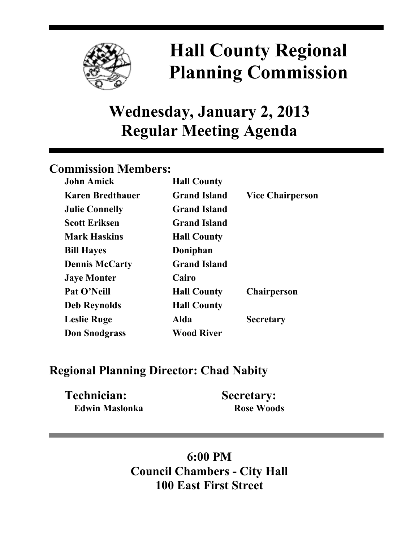

# **Hall County Regional Planning Commission**

## **Wednesday, January 2, 2013 Regular Meeting Agenda**

### **Commission Members:**

| <b>John Amick</b>       | <b>Hall County</b>  |                         |
|-------------------------|---------------------|-------------------------|
| <b>Karen Bredthauer</b> | <b>Grand Island</b> | <b>Vice Chairperson</b> |
| <b>Julie Connelly</b>   | <b>Grand Island</b> |                         |
| <b>Scott Eriksen</b>    | <b>Grand Island</b> |                         |
| <b>Mark Haskins</b>     | <b>Hall County</b>  |                         |
| <b>Bill Hayes</b>       | Doniphan            |                         |
| <b>Dennis McCarty</b>   | <b>Grand Island</b> |                         |
| <b>Jaye Monter</b>      | Cairo               |                         |
| Pat O'Neill             | <b>Hall County</b>  | <b>Chairperson</b>      |
| <b>Deb Reynolds</b>     | <b>Hall County</b>  |                         |
| <b>Leslie Ruge</b>      | Alda                | <b>Secretary</b>        |
| <b>Don Snodgrass</b>    | <b>Wood River</b>   |                         |

### **Regional Planning Director: Chad Nabity**

| <b>Technician:</b> | <b>Secretary:</b> |
|--------------------|-------------------|
| Edwin Maslonka     | <b>Rose Woods</b> |

## **6:00 PM Council Chambers - City Hall 100 East First Street**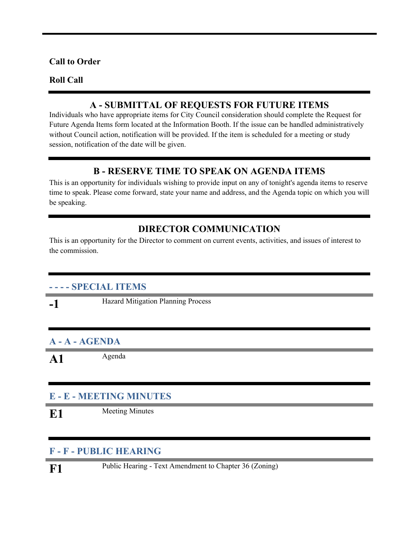#### **Call to Order**

#### **Roll Call**

#### **A - SUBMITTAL OF REQUESTS FOR FUTURE ITEMS**

Individuals who have appropriate items for City Council consideration should complete the Request for Future Agenda Items form located at the Information Booth. If the issue can be handled administratively without Council action, notification will be provided. If the item is scheduled for a meeting or study session, notification of the date will be given.

#### **B - RESERVE TIME TO SPEAK ON AGENDA ITEMS**

This is an opportunity for individuals wishing to provide input on any of tonight's agenda items to reserve time to speak. Please come forward, state your name and address, and the Agenda topic on which you will be speaking.

#### **DIRECTOR COMMUNICATION**

This is an opportunity for the Director to comment on current events, activities, and issues of interest to the commission.

#### **- - - - SPECIAL ITEMS**

**-1** Hazard Mitigation Planning Process

#### **A - A - AGENDA**

A1 Agenda

#### **E - E - MEETING MINUTES**

**E1** Meeting Minutes

#### **F - F - PUBLIC HEARING**

F1 Public Hearing - Text Amendment to Chapter 36 (Zoning)